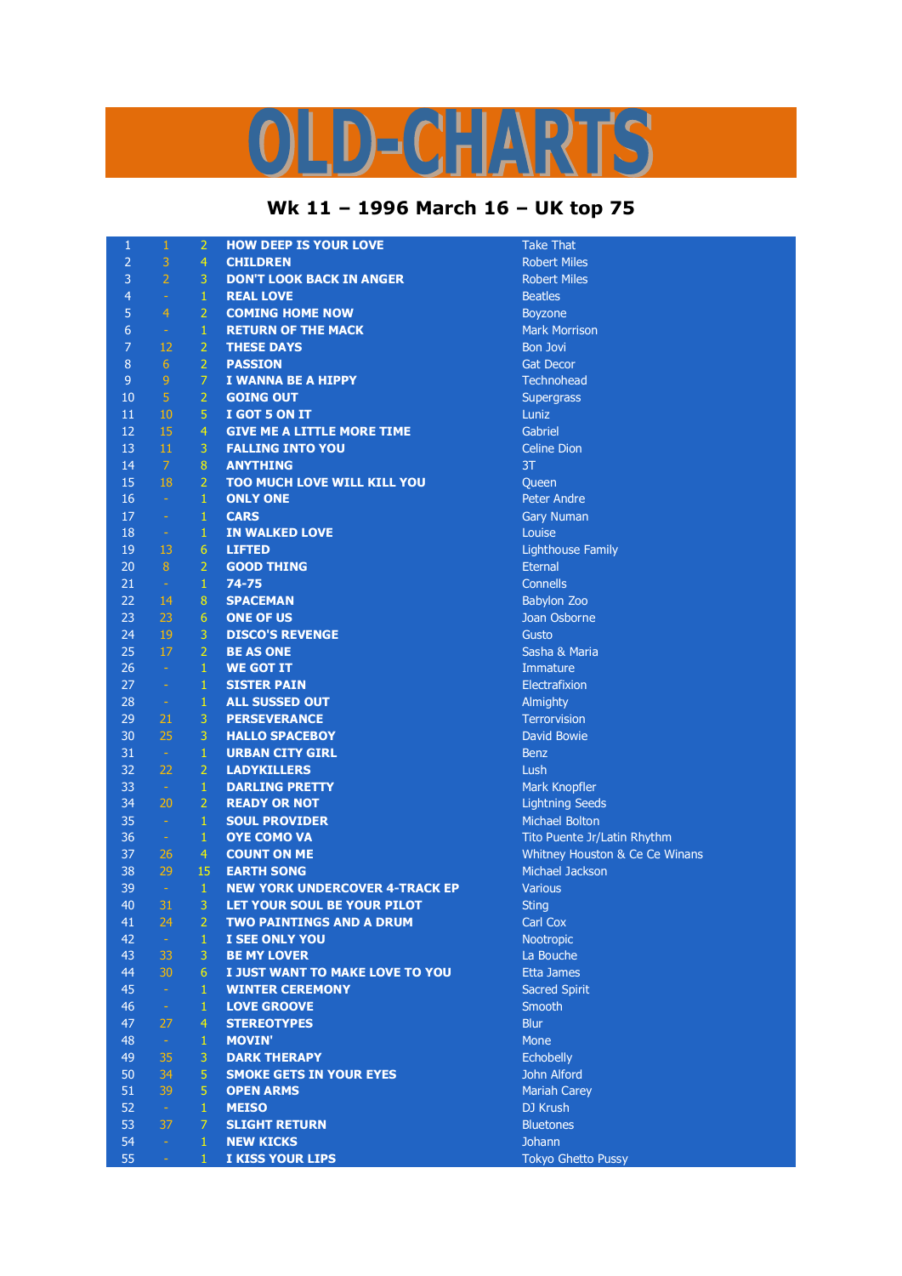## LD-CHARTS

## **Wk 11 – 1996 March 16 – UK top 75**

| $\mathbf{1}$     | $\mathbf{1}$   | $\overline{2}$  | <b>HOW DEEP IS YOUR LOVE</b>                       | <b>Take That</b>                   |
|------------------|----------------|-----------------|----------------------------------------------------|------------------------------------|
| $\overline{2}$   | 3              | $\overline{4}$  | <b>CHILDREN</b>                                    | <b>Robert Miles</b>                |
| 3                | $\overline{2}$ | 3               | <b>DON'T LOOK BACK IN ANGER</b>                    | <b>Robert Miles</b>                |
| $\overline{4}$   | $\equiv$       | $\mathbf{1}$    | <b>REAL LOVE</b>                                   | <b>Beatles</b>                     |
| 5                | $\overline{4}$ | $\overline{2}$  | <b>COMING HOME NOW</b>                             | <b>Boyzone</b>                     |
| $\boldsymbol{6}$ | $\equiv$       | $\mathbf{1}$    | <b>RETURN OF THE MACK</b>                          | <b>Mark Morrison</b>               |
| 7                | 12             | $\overline{2}$  | <b>THESE DAYS</b>                                  | <b>Bon Jovi</b>                    |
| 8                | 6              | $\overline{2}$  | <b>PASSION</b>                                     | <b>Gat Decor</b>                   |
| 9                | $\overline{9}$ | $\overline{7}$  | I WANNA BE A HIPPY                                 | Technohead                         |
| 10               | 5              | $\overline{2}$  | <b>GOING OUT</b>                                   | Supergrass                         |
| 11               | 10             | 5               | I GOT 5 ON IT                                      | Luniz                              |
| 12               | 15             | $\overline{4}$  | <b>GIVE ME A LITTLE MORE TIME</b>                  | Gabriel                            |
| 13               | 11             | $\mathbf{3}$    | <b>FALLING INTO YOU</b>                            | <b>Celine Dion</b>                 |
| 14               | $\overline{7}$ | 8               | <b>ANYTHING</b>                                    | 3T                                 |
| 15               | 18             | $\overline{2}$  | TOO MUCH LOVE WILL KILL YOU                        | Queen                              |
| 16               | $\sim$         | $\mathbf{1}$    | <b>ONLY ONE</b>                                    | Peter Andre                        |
| 17               | $\omega$       | $\mathbf{1}$    | <b>CARS</b>                                        | <b>Gary Numan</b>                  |
| 18               | $\pm$          | $\mathbf{1}$    | <b>IN WALKED LOVE</b>                              | Louise                             |
| 19               | 13             | 6               | <b>LIFTED</b>                                      | <b>Lighthouse Family</b>           |
| 20               | 8              | $\overline{2}$  | <b>GOOD THING</b>                                  | <b>Eternal</b>                     |
| 21               | $\sim$         | $\mathbf{1}$    | $74 - 75$                                          | <b>Connells</b>                    |
| 22               | 14             | 8               | <b>SPACEMAN</b>                                    | <b>Babylon Zoo</b>                 |
| 23               | 23             | $6\phantom{1}6$ | <b>ONE OF US</b>                                   | Joan Osborne                       |
| 24               | 19             | 3               | <b>DISCO'S REVENGE</b>                             | Gusto                              |
| 25               | 17             | $\overline{2}$  | <b>BE AS ONE</b>                                   | Sasha & Maria                      |
| 26               | $\omega$       | $\mathbf{1}$    | <b>WE GOT IT</b>                                   | Immature                           |
| 27               | $\omega$       | $\mathbf{1}$    | <b>SISTER PAIN</b>                                 | Electrafixion                      |
| 28               | $\sim$         | $\mathbf{1}$    | <b>ALL SUSSED OUT</b>                              | Almighty                           |
| 29               | 21             | 3               | <b>PERSEVERANCE</b>                                | <b>Terrorvision</b>                |
| 30               | 25             | 3               | <b>HALLO SPACEBOY</b>                              | <b>David Bowie</b>                 |
| 31               | $\sim$         | $\mathbf{1}$    | <b>URBAN CITY GIRL</b>                             | <b>Benz</b>                        |
| 32               | 22             | $\overline{2}$  | <b>LADYKILLERS</b>                                 | Lush                               |
| 33               | $\sim$         | $\mathbf{1}$    | <b>DARLING PRETTY</b>                              | Mark Knopfler                      |
| 34               | 20             | $\overline{2}$  | <b>READY OR NOT</b>                                | <b>Lightning Seeds</b>             |
| 35               | $\sim$         | $\mathbf{1}$    | <b>SOUL PROVIDER</b>                               | <b>Michael Bolton</b>              |
| 36               | $\sim$         | $\mathbf 1$     | <b>OYE COMO VA</b>                                 | Tito Puente Jr/Latin Rhythm        |
| 37               | 26             | $\overline{4}$  | <b>COUNT ON ME</b>                                 | Whitney Houston & Ce Ce Winans     |
| 38               | 29             | 15              | <b>EARTH SONG</b>                                  | Michael Jackson                    |
| 39               | $\sim$         | $\mathbf{1}$    | <b>NEW YORK UNDERCOVER 4-TRACK EP</b>              | <b>Various</b>                     |
| 40               | 31             | 3               | LET YOUR SOUL BE YOUR PILOT                        | <b>Sting</b>                       |
| 41               | 24             | 2               | TWO PAINTINGS AND A DRUM                           | Carl Cox                           |
| 42               | $\equiv$       | $\mathbf{1}$    | I SEE ONLY YOU                                     | Nootropic                          |
| 43               | 33             | $\mathbf{3}$    | <b>BE MY LOVER</b>                                 | La Bouche                          |
| 44               | 30             | $6\phantom{1}6$ | I JUST WANT TO MAKE LOVE TO YOU                    | <b>Etta James</b>                  |
| 45               | $\omega$       | $\mathbf{1}$    | <b>WINTER CEREMONY</b>                             | <b>Sacred Spirit</b>               |
| 46               | $\omega$       | $\mathbf{1}$    | <b>LOVE GROOVE</b>                                 | Smooth                             |
| 47               | 27             | $\overline{4}$  | <b>STEREOTYPES</b>                                 | <b>Blur</b>                        |
| 48               | $\sim$         | $\mathbf{1}$    | <b>MOVIN'</b>                                      | Mone                               |
| 49               | 35             | 3               | <b>DARK THERAPY</b>                                | Echobelly                          |
| 50               | 34             | 5               |                                                    |                                    |
| 51               | 39             | 5               | <b>SMOKE GETS IN YOUR EYES</b><br><b>OPEN ARMS</b> | John Alford<br><b>Mariah Carey</b> |
| 52               | $\sim$         | $\mathbf{1}$    | <b>MEISO</b>                                       | DJ Krush                           |
| 53               | 37             | 7               |                                                    |                                    |
|                  |                |                 | <b>SLIGHT RETURN</b>                               | <b>Bluetones</b>                   |
| 54               | $\omega$       | $\mathbf{1}$    | <b>NEW KICKS</b>                                   | <b>Johann</b>                      |
| 55               |                | 1               | I KISS YOUR LIPS                                   | <b>Tokyo Ghetto Pussy</b>          |